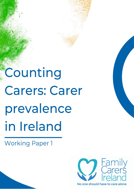Counting **Carers: Carer** prevalence in Ireland

**Working Paper 1** 

Version updated 29/3/2

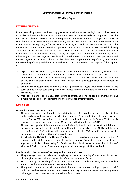### **Counting Carers: Carer Prevalence in Ireland**

# **Working Paper 1**

### **EXECUTIVE SUMMARY**

In a policy-making system that increasingly looks to an 'evidence-base' for legitimation, the existence of reliable and relevant data is of fundamental importance. Unfortunately, as this paper shows, the enumeration of family carers in Ireland is fraught with a number of practical challenges which typically contribute to inconsistencies and under-reporting in carer prevalence rates. As a consequence, policy in the area is inadequately informed, service planning is based on partial information and the effectiveness of interventions aimed at supporting carers cannot be properly assessed. Whilst having an accurate figure on carer prevalence is crucial, statistics must also show the circumstances in which carers live, the nature of the care they provide, the impact it has on their lives and the key factors influencing that impact. Regular, reliable and comprehensive survey data on carer prevalence and impact, together with research based on that data, has the potential to significantly improve our understanding of caring and the political and societal response needed. The purpose of this paper is to:

- 1. explain carer prevalence data, including the replacement value of care, used by *Family Carers Ireland* and the methodological and practical considerations that inform this approach;
- 2. identify the sources of data available with regard to the prevalence of family carers in Ireland and outline some of their weaknesses in terms of how care is conceptualised in survey/census questions.
- 3. examine the conceptualisation of care and how questions relating to what constitutes care, who cares and how much care they provide can impact carer self-identification and ultimately carer prevalence rates;
- 4. make recommendations on how data relating to caregiving in Ireland could be improved to give a more realistic and relevant insight into the prevalence of family caring.

## **KEY FINDINGS**

### **Anomalies in carer prevalence data**

- The carer prevalence rate identified through the Census of Population has been consistently low and at variance with prevalence rates in other countries. For example, the Irish carer prevalence rate in Census 2002 was 4.8 per cent and decreased to 4.1 per cent in Census 2016 – this is compared to a carer prevalence rate of 12 per cent in Northern Ireland in 2011.
- The concern regarding this international disparity is heightened due to the significant difference between carer prevalence rates within Ireland identified by the Irish census (4.1%) and the Irish Health Survey (12.5%), both of which are undertaken by the CSO but differ in terms of the question asked and the methods of data collection.
- A review by the UK's Office for National Statistics on the unpaid care question included in the UK census found that family carers identified with the phrase 'look after' rather than 'help or support', particularly those caring for family members. Participants believed that 'look after' along with 'help or support' better encompassed all caring responsibilities and tasks

### **Problems with phrasing survey/census questions on unpaid care**

- The phrasing of questions relating to caregiving and the understanding of what care activities that phrasing implies are critical to the validity of the measurement of care.
- Poor or ambiguous wording of survey questions can lead to under-reporting and may explain some of the discrepancies in carer prevalence data.
- The question relating to unpaid care in the Irish Census uses the terminology of 'personal help' which leaves the question open to interpretation and may cause some respondents who provide other types of 'non personal care' not to identify as a carer.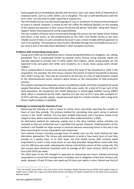- Some people do not immediately identify with the term 'carer' but rather think of themselves in relational terms, such as a wife, father, son or daughter. This lack of self-identification with the term 'carer' can also lead to under-reporting of unpaid care.
- The Irish Health Survey uses the broad language of 'care or assistance' to measure the prevalence of carers in Ireland. However, a review by the UK's Office for National Statistics on the wording of the unpaid care question in their census found that the phrase 'look after' along with 'help or support' better encompassed all caring responsibilities.
- The low numbers of family carers enumerated through the census has led *Family Carers Ireland* and others in the sector, to rely predominantly on the CSO's Irish Health Survey as the most reliable source of data on carer prevalence because it uses a more broadly defined approach to care in its wording<sup>1</sup>. The prevalence rate of carers identified through the Irish Health Survey (12.5 per cent) is also in line with those identified in other European countries.

### **Problems with enumerating young carers**

- Young carers often do not identify as carers, instead seeing themselves as a daughter, son, sibling, grandchild. This is complicated further by societal norms around caring whereby adults are typically expected to provide care to other adults and children, whilst young people are not expected to be care-givers but rather care recipients. As a result, many young carers remain 'hidden'.
- This is compounded in surveys and censuses where the head of the household or adult is the respondent. For example, the Irish Census requires the parent or head of household to disclose their child's caring role. They may be reluctant to do this due to a fear of stigmatisation related to the aforementioned norms, concerns about privacy or the intervention of child protective services.
- This explains discrepancies between surveys completed by adults and those completed by young people themselves. Census 2016 identified 6,108 carers under 18, a total of 0.5 per cent of the child population. By comparison the Health Behaviour in School-aged Children Survey (HBSC) 2018, which is completed by the child, reported 13.3 per cent of 10-17 year olds surveyed (n= 15,557) said they provide regular, unpaid personal help for a family member with a long-term illness, health problem or disability.

## **Challenges in measuring the intensity of care**

- Measuring the intensity of care is based on family carers accurately reporting the number of hours of care they provide. The primary method for calculating time spent caring in national surveys is the 'recall' method. This has been studied extensively and it has been shown to be subject to bias, where overestimation and more often underestimation, is likely.
- An alternative method for capturing unpaid care is the diary method, where activities are recorded as they are conducted over a specified time period. However, implementation of this method is not feasible for large surveys or censuses because measuring hours in this way is too time-consuming for survey respondents and researchers.
- Irish national surveys recording average hours of weekly care use the recall method but take alternative approaches. The Census asks participants to write in how many hours of care they provide on a weekly basis. In its 2015 wave, the Irish Health Survey (IHS) similarly asked respondents to write in how many hours of care they provided. Respondents could state they care for 168 hours per week, indicating the intense and full-time nature of their caring role. The two surveys were relatively consistent with an average of 38.7 hours (Census 2016) and 44.7 hours (IHS 2015) per week.
- The 2019 wave of the IHS changed its approach to measuring care hours, instead instructing respondents to record their average hours of weekly care in categories of less than 10 hours per week, between 10 and 19 hours per week and 20 hours per week or more. Almost one third of

1

<sup>&</sup>lt;sup>1</sup> The Irish Health Survey (IHS) is the Irish version of the European Health Interview Survey (EHIS) which gathers data on health status, health care usage and health determinants and allows for health comparisons to be made across European Member States.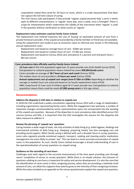respondents stated they cared for 20 hours or more, which is a crude measurement that does not capture the full-time nature of caring.

The Irish Census asks participants if they provide 'regular unpaid personal help' a term is which open to different interpretations. Is 'regular' every day, once a week, once a fortnight? There is scope for interpretation which undermines the validity of the instrument when 'regular' is used in the question without clarification on what counts as 'regular'.

### **Replacement value estimates used by Family Carers Ireland**

The replacement cost method measures the cost of 'buying' an equivalent amount of care from a private homecare provider, if the unpaid care provided by a family member or friend was not available. Using the replacement cost model to put an economic value on informal care results in the following annual replacement costs:

- Replacement cost based on average hours of care  $\epsilon$ 20bn per annum
- Replacement cost based on median hours of care €7.8bn per annum
- Replacement cost based on Census 2016 carer prevalence 4.1 percent and mid-point hours -8bn per annum

### **Carer prevalence data officially used by** *Family Carers Ireland***:**

- 12.5 per cent of the Irish population aged over 15 years provide care (Irish Health Survey 2019).
- Extrapolation to national population means Ireland has some *499,904 family carers*.
- Carers provides an average of *38.7 hours of care each week* (Census 2016).
- The median hours of care provided is *15 hours per week* (Census 2016).
- *Annual replacement cost of unpaid care ranges from €7.8bn to €20bn* depending on whether the average or median hours are used and based on an hourly replacement value of €20.
- HBSC study found 13.3 per cent of children aged 10-17 years provide care. Extrapolation to national population means there could be nearly **67,000** *young carers* in this age cohort.

### **Recommendations**

### **Address the disparity in CSO data in relation to unpaid care**

In 2018 the CSO undertook a public consultation regarding Census 2022 with a range of stakeholders, including organisations representing family carers. While this engagement was welcome, a number of important changes recommended by sector representatives were not incorporated into the wording of the unpaid care question. Because of the disparities in carer prevalence data identified across CSO sources (census and IHS), it is important that the CSO investigates the reasons for this disparity and takes measure to address it.

### **Review the phrasing of 'unpaid care' questions**

Caring involves a wide range of tasks, not only activities of daily living (e.g. toilet hygiene, feeding) and instrumental activities of daily living (e.g. shopping, preparing meals), but also managing care and providing social support. When family caring is defined with such a broader focus in survey questions, carers who regularly provide emotional support, transport, cooking and cleaning and/or medication management are more likely to answer 'yes'. This can lead to a more accurate enumeration of unpaid carers in the population. As such, *Family Carers Ireland* encourages a broad understanding of care in the operationalisation of survey questions on unpaid caring.

### **Guidance on the recording of care hours**

Challenges exist with regard to the accurate measurement of the time spent providing care through carers' completion of census or survey questions. While there is no simple solution, the inclusion of questions relating to care hours is important for policy and service development. It is also the case that the identification of carers early in their caregiving journey, when they are providing a relatively small amount of care, can allow the supports they need to grow as the intensity of their caregiving increases. While the notes included as an appendix to the census questionnaire explain the unpaid care question,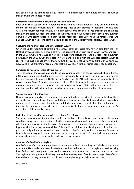few people take the time to read this. Therefore an explanation of care hours and tasks should be included within the question itself.

#### *Combining censuses with more frequent national surveys*

Population censuses are major operations conducted at lengthy intervals, they are not meant to monitor change continuously. It is increasingly regarded as best practice to supplement census data with more regular national surveys. In an Irish context this can be achieved through the continued inclusion of a carer question in the Irish Health Survey while including for the first time a new question on workers with caring responsibilities in the national Labour Force Survey and the Personal Work Life Balance Survey as well as including a module on caring in the Quarterly National Household Survey.

#### **Capturing the hours of care in the Irish Health Survey**

Given the under-reporting of carers in the census, carer advocates now rely on data from the Irish Health Survey. A question on unpaid care was included in the first Irish Health Survey in 2015 and again in the 2019 survey. In the 2015 survey, care hours were captured through an open-ended question however, in the 2019 survey the question was amended in line with the European Health Survey to record care hours in bands of '*less than 10 hours, between 10 and 20 hours or more than 20 hours per week'*. *Family Carers Ireland* recommends that the CSO revert to the original open-ended question.

#### **Campaign to raise awareness of young carers**

The extension of the census question to include young people with caring responsibilities in Census 2011 was an important development, however subsequently the disparity in young carer prevalence between census data and the HBSC survey (0.5% versus 13.3%) undermines the credibility of the census. *Family Carers Ireland* recommends that the CSO along with the caring sector undertake an awareness campaign targeted at young carers in advance of Census 2022 and that any review of census question wording will include a focus on achieving a more accurate enumeration of young carers.

#### **Supporting carer identification**

How people conceptualise care and what they understand care activities to be, as well as how they define themselves in relational terms with the cared for person is a significant challenge towards a more accurate enumeration of family carers. Efforts to increase carer identification and ultimately improve their uptake of supports needs to be sensitive to both the carer and cared-for person's perceptions of their familial roles.

### **Inclusion of care specific questions in the Labour Force Survey:**

The inclusion of care-related questions in the Labour Force Survey is welcome, however the survey could be strengthened by a greater distinction between childcare and caring for a child or adult with additional needs as well as the inclusion of a question on the number of people in employment who juggle work with caring responsibilities. This would help inform the development of policies and practices designed to support working carers. Similar to the Quarterly National Household Survey, the Labour Force Survey will conduct modules on social topics, so the CSO could include a module to examine the prevalence, issues and experiences of working carers.

### **Creation of a Family Carer Register**

*Family Carers Ireland* recommends the establishment of a 'Family Carer Register', similar to the model used in the UK. Family carers could self-identify and ask to be placed on the register as well as being identified by healthcare professionals and others who provide support to them and their loved one. This register would provide a local, regional and national register of family carers, regardless of what financial support they receive, that would assist in the planning and delivery of services.

### **Next steps**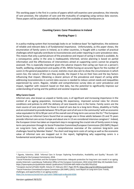This working paper is the first in a series of papers which will examine carer prevalence, the intensity of care provision, the valuation of care and the mutuality of caregiving using various data sources. These papers will be published periodically and will be available at www.familycarers.ie

## **Counting Carers: Carer Prevalence in Ireland**

### **Working Paper 1**

In a policy-making system that increasingly looks to an 'evidence-base' for legitimation, the existence of reliable and relevant data is of fundamental importance. Unfortunately, as this paper shows, the enumeration of family carers in Ireland, as in other countries, is fraught with a number of practical challenges which typically contribute to inconsistencies and under-reporting in carer prevalence rates. This means that only a partial picture of the prevalence and impact of caring in Ireland is available. As a consequence, policy in the area is inadequately informed, service planning is based on partial information and the effectiveness of interventions aimed at supporting carers cannot be properly assessed. This is especially important given the adverse impacts that caring can have on a person's health, wellbeing, employment and quality of life. Whilst having an accurate figure for the number of carers in the general population is crucial, statistics must also aim to show the circumstances in which carers live, the nature of the care they provide, the impact it has on their lives and the key factors influencing that impact. Obtaining a clearer picture of the prevalence and impact of caring while addressing inconsistencies in current data sources is needed to reduce unmet needs and inequalities experienced by carers. Regular, reliable and comprehensive survey data on carer prevalence and impact, together with research based on that data, has the potential to significantly improve our understanding of caring and the political and societal response needed.

#### **Why Carers Count**

Informal care, also known as unpaid or family care, is of significant and increasing importance in the context of an ageing population, increasing life expectancy, improved survival rates for chronic conditions and policies to shift the delivery of care towards care in the home. Family carers are the main source of care provision for those in need of care due to a long-term illness, disability or frailty and are estimated to provide between 70 to 95 per cent of all care in the community<sup>2</sup> with an economic value equivalent to 50 to 90 per cent of the overall cost of long-term care across the EU.<sup>3</sup> The European Social Survey on Informal Carers found that on average one in three adults between 25 and 75 years provide informal care across Europe and about one in 13 are considered intensive caregivers<sup>4</sup>. Indeed, the European Union has taken an important step in recognising the crucial role of family carers in longterm care provision through its Social Protection Committee/European Commission (DG EMPL) Report on Long-term Care, which provides a comprehensive overview of the common long-term care challenges faced by Member States<sup>5</sup>. The short and long-term costs of caring as well as the economic value of informal care are mapped out in the report, highlighting why supporting carers is a fundamental social policy issue across Europe

1

<sup>&</sup>lt;sup>2</sup> Zigante, Valentina. 2018. 'Informal Care in Europe: Exploring Formalisation, Availability and Quality.' Brussels: LSE Consulting for the European Commission, 2018.

<sup>&</sup>lt;sup>3</sup> Social Protection Committee and the European Commission. Adequate protection for long-term care needs in an ageing society [Internet]. Luxembourg: Publication Office of the European Commission; 2014 [cited 2020 May 24] Available from: https://opeuropaeu/en/publication-detail/-/publication/71532344-ddf1-4d34-a7aa-f65c701a22a2

<sup>4</sup> *European Journal of Public Health*, Volume 27, February 2017, Pages 90-95, <https://doi.org/10.1093/eurpub/ckw229> <sup>5</sup> Social Protection Committee/European Commission (DG EMPL) (2021) 'Joint Report on Long-term Care: Trends, challenges, and opportunities in an ageing society',

<https://ec.europa.eu/social/main.jsp?catId=738&langId=en&pubId=8396>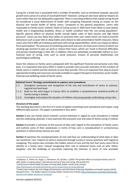Caring for a loved one is associated with a number of benefits, such as emotional rewards, personal growth and a sense of a sense of accomplishment<sup>6</sup>. However, caring can also have adverse impacts on carers when they are not adequately supported. There is mounting evidence that unpaid caring should be considered a social determinant of health with caregiving frequently having an impact on the physical and mental health of family carers. Compared to the general population, carers who responded to Family Carers Ireland's State of Caring survey in 2020 were more likely to have poorer health and a longstanding disability, illness or health condition than the non-caring population<sup>7</sup>. Specific adverse effects on physical health include higher rates of back injuries and high blood pressure<sup>8</sup>. Carers are less likely than others to prioritise their own needs which can lead to harmful behaviours such as poor diet or sleep habits and a failure to take preventative health measures. Many carers also find it difficult to balance paid work with caring responsibilities, which can impact on labour force participation. The pressure of combining paid work and care can lead carers (many of whom are working-age women) to give up work or reduce their hours, which can result in financial difficulties and pension disadvantage in later life. In addition, there are potentially considerable indirect or nonfinancial costs of caring, costs such as social exclusion, erosion of personal relationships and psychological wellbeing.

Given the reliance on family carers juxtaposed with the significant financial and personal costs they bear, it is imperative that every effort is made to provide more accurate estimates of the numbers of family carers in Ireland and the intensity of care they provide. This is an important first step to ensure appropriate funding and resources are made available to support the gamut of practical, social, health, financial and wellbeing needs of family carers.

### **National Carers' Strategy commitments to capture carer prevalence**

- 1.1: Strengthen awareness and recognition of the role and contribution of carers at national, regional and local level.
- 1.1.3: Build on the work begun in Census 2011 to establish a comprehensive statistical profile of Family Caring in Ireland.
- 2.2.4: Investigate and analyse the situation of children and young people undertaking caring roles.

### **Structure of the paper**

This working document is the first of a series of papers examining carer prevalence and impact using different data sources. This paper is presented in four parts:

**Section 1** sets out *Family Carers Ireland's* current estimates in regard to carer prevalence in Ireland and the underlying rationale. It also examines the economic cost and value of family caring in Ireland.

**Section 2** provides a summary of the sources of data with regard to the prevalence of family carers and outlines some of their weaknesses in terms of how care is conceptualised in survey/census questions or where proxy sources are used.

**Section 3** examines the conceptualisation of care and how our understanding of what does or does not constitute 'care' impacts on what is measured through survey or census questions with regard to caregiving. This section also considers the hidden nature of care and the fact that many carers fail to identify as a family carer, instead recognising their role in relational terms such as wife, father, daughter; and the challenge of accurately capturing the intensity or hours of care provided.

1

<sup>6</sup> Pysklywec, A., Plante, M., Auger, C., Mortenson, W., & Eales, J. (2020) 'The positive effects of caring for family carers of older adults: a scoping review', International Journal of Care and Caring, 4(3) pp.349-375. <sup>7</sup> Family Carers Ireland (2020) The State of Caring 2020, Dublin: Family Carers Ireland,

<https://familycarers.ie/media/2022/family-carers-ireland-state-of-caring-2020.pdf>

<sup>8</sup> Family Carers Ireland, the Irish College of Psychiatrists and UCD School of Nursing, Midwifery and Health Systems (2019) Paying the Price - The Hidden Impacts of Caring, Dublin: Family Carers Ireland[, https://familycarers.ie/media/1422/paying](https://familycarers.ie/media/1422/paying-the-price-the-hidden-impacts-of-caring.pdf)[the-price-the-hidden-impacts-of-caring.pdf](https://familycarers.ie/media/1422/paying-the-price-the-hidden-impacts-of-caring.pdf)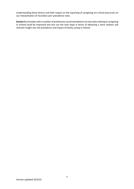Understanding these factors and their impact on the reporting of caregiving are critical precursors to our interpretation of recorded carer prevalence rates.

**Section 4** concludes with a number of preliminary recommendations on how data relating to caregiving in Ireland could be improved and sets out the next steps in terms of obtaining a more realistic and relevant insight into the prevalence and impact of family caring in Ireland.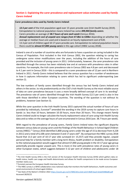# **Section 1: Explaining the carer prevalence and replacement value estimates used by** *Family Carers Ireland*

#### **Carer prevalence data used by** *Family Carers Ireland***:**

- 12.5 per cent of the Irish population aged over 15 years provide care (Irish Health Survey 2019).
- Extrapolation to national population means Ireland has some *499,904 family carers*.
- Carers provides an average of 38.7 hours of care each week (Census 2016).
- *Annual replacement cost of unpaid care ranges from €7.8bn to €20bn* depending on whether the average or median hours are used and is based on an hourly replacement cost of €20.
- 13.3 per cent of children aged 10-17 years provide care. Extrapolation to national population means there could be **almost 67,000** *young carers* in this age cohort (HBSC survey 2018).

Ireland is one of a number of countries who are fortunate to have a question on caring included in the Census of Population. First included in the Irish Census 2002, the question relating to caring has undergone some minor modifications over the years, including the addition of the hours of care provided and the inclusion of young carers in 2011. Unfortunately, however, the carer prevalence rate identified through the census has been relatively low and at variance with prevalence rates in other countries. For example, the Irish carer prevalence rate in Census 2002 was 4.8 per cent and decreased to 4.1 per cent in Census 2016 – this is compared to a carer prevalence rate of 12 per cent in Northern Ireland in 2011. *Family Carers Ireland* believes that the census question has a number of weaknesses in how it captures information relating to carers which has led to significant underreporting (see section 2).

The low numbers of family carers identified through the census has led *Family Carers Ireland* and others in the sector, to rely predominantly on the CSO's Irish Health Survey as the most reliable source of data on carer prevalence because it uses a more broadly defined concept of care in its wording<sup>9</sup>. The prevalence rate of carers identified through the Irish Health Survey (12.5 per cent) is also in line with those identified in other European countries. The wording of the question is not without its problems, however (see Section 3).

While the carer question in the Irish Health Survey 2015 captured the actual number of hours of care provided by individuals, Eurostat<sup>10</sup> amended the wording in the 2019 survey to capture care hours in bands i.e. less than 10 hours, between 10-20 hours, more than 20 hours. This change meant *Family Carers Ireland* could no longer calculate the hourly replacement value of care using Irish Health Survey data and so relies on the average hours of care enumerated in Census 2016 (ave. 38.7 hours per week).

With regard to the prevalence of young carers, *Family Carers Ireland* notes the significant disparity between census data on young carers and the findings of the Health Behaviour in School Aged Children survey (HBSC).<sup>11</sup> Census 2016 identified 3,800 young carers under the age of 15 (a decrease from 4,228 in 2011) and a total of 6,108 carers between 0 and 17 years old $^{12}$ . By comparison the HBSC survey 2018 found that 13.3 per cent of 10-17 year olds surveyed (n= 15,557) said they provide regular, unpaid personal help for a family member with a long-term illness, health problem or disability. Extrapolation to the national population would suggest that almost 67,000 young people in the 10-17 year age-group potentially provide regular unpaid care. This is more in line with prevalence rates of young carers in other European states, which suggests between 5-12 per cent of children and adolescents under 18

 $\overline{\phantom{a}}$ 

<sup>9</sup> The Irish Health Survey (IHS) is the Irish version of the European Health Interview Survey (EHIS) which gathers data on health status, health care usage and health determinants and allows for health comparisons to be made across European member states.susu

<sup>&</sup>lt;sup>10</sup> Eurostat oversee the European Health Interview Survey.

<sup>&</sup>lt;sup>11</sup> The HBSC survey is a WHO collaborative cross-national study that monitors the health behaviours, health outcomes and social environments of school-aged children.

<sup>&</sup>lt;sup>12</sup> See State of the Nation's Children 202[2 https://assets.gov.ie/217089/c81cc2ed-a2c9-48d9-baa3-6c6a93488a80.pdf](https://assets.gov.ie/217089/c81cc2ed-a2c9-48d9-baa3-6c6a93488a80.pdf) Accessed 28/03/22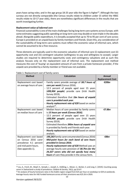years have caring roles; and in the age group 18-25 year olds the figure is higher<sup>13</sup>. Although the two surveys are not directly comparable (the Census results relate to children under 15 whilst the HBSC results relate to 10-17 year olds), there are nonetheless significant differences in the results that are worth investigating further.

### *Replacement value of informal care*

Financial sustainability is one of the main challenges facing long-term care systems across Europe, with some estimates suggesting public spending on long-term care may double or even triple in the decades ahead. Alongside public expenditure, it is broadly accepted that up to 70 to 95 per cent of care across Europe is provided on an unpaid basis by family members and friends. Given this, any consideration of the sustainability of long-term care systems must reflect the economic value of informal care, which cannot be assumed to be a free resource.

Three elements are typically used in the economic valuation of informal care (i) replacement cost (ii) opportunity cost and (iii) contingent valuation (willingness to pay and willingness to accept). Larger studies are required to determine opportunity costs and contingency valuations and as such this analysis focuses only on the replacement cost of informal care. The replacement cost method measures the cost of 'buying' an equivalent amount of care from a private homecare provider, if the unpaid care provided by a family member or friend was not available.

| <b>Method</b>            | <b>Calculation</b>                               | <b>Annual</b>           |
|--------------------------|--------------------------------------------------|-------------------------|
|                          |                                                  | <b>Replacement Cost</b> |
| Replacement cost based   | - Family carers provide average of 38.7 hours of | €20bn                   |
| on average hours of care | care per week (Census 2016).                     |                         |
|                          | - 12.5 percent of people aged over 15 years      |                         |
|                          | (499,904 people) provide care (Irish Health      |                         |
|                          | Survey 2019).                                    |                         |
|                          | - Estimated therefore that 1bn hours of unpaid   |                         |
|                          | care is provided each year.                      |                         |
|                          | - Hourly replacement rate of €20 based on sector |                         |
|                          | analysis <sup>14</sup> .                         |                         |
| Replacement cost based   | - Median hours of care provided by family carers | €7.8bn                  |
| on median hours of care  | is 15 hours per week (Census 2016).              |                         |
|                          | - 12.5 percent of people aged over 15 years      |                         |
|                          | (499,904 people) provide care (Irish Health      |                         |
|                          | Survey 2019).                                    |                         |
|                          | - Estimated therefore 390m hours of unpaid care  |                         |
|                          | is provided by family and friends each year.     |                         |
|                          | - Hourly replacement rate of €20 based on sector |                         |
|                          | analysis.                                        |                         |
| Replacement cost based   | - 195,263 family carers enumerated (Census 2016) | €8bn                    |
| on Census 2016 carer     | - Mid-point hours for each band of care hours    |                         |
| prevalence 4.1 percent   | provided in Census 2016.                         |                         |
| and mid-point hours.     | - Hourly replacement rate of €20 Method uses an  |                         |
| (See appendix 1).        | average hourly care provision of 38.7hrs for the |                         |
|                          | 24,327 carers who did not specify how many       |                         |
|                          | hours of care they provide in the census form.   |                         |

Table 1: Replacement cost of family carers

**.** 

<sup>13</sup> Leu, A., Frech, M., Wepf, H., Sempik, J., Joseph, S., Helbling, L., Moser, U., Becker, S. and Jung, C. (2019). Counting young carers in Switzerland–a study of prevalence. *Children & Society*, 33(1), pp.53-67.

<sup>14</sup> An analysis of hourly homecare rates in the Dublin region ranged from €25 per hour on weekdays to €29 at weekends. Average hourly rates for HSE funded homecare across all their provisions was €25.26 in 2020.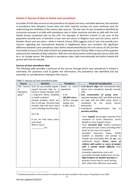## **Section 2: Sources of data on family carer prevalence**

A number of Irish data sources on the prevalence of unpaid care exist, and while welcome, the variation in prevalence rates between Census data and other national surveys can cause confusion and risk undermining the credibility of the various data sources. The low rate of carer prevalence identified by successive censuses is at odds with prevalence rates in other countries and also at odds with the Irish Health Survey conducted also by the CSO. For example, in Northern Ireland 12 per cent of the population provide care, in Denmark 13 per cent are carers; in Belgium 9 per cent are carers; and in Sweden 18 per cent are carers - while in Ireland, Census 2016 suggests only 4.1 per cent provide care. Concern regarding this international disparity is heightened when one considers the significant difference between carer prevalence rates within Ireland identified by the Irish census (4.1%) and the Irish Health Survey (12.6%), both of which are undertaken by the CSO but differ in terms of the question asked and the methods of data collection. With the Irish Government confirming that Census 2022 will be a 'no change census' the disparity in prevalence rates, both internationally and within Ireland will persist well into this decade.

### *Sources of carer prevalence data*

The following table provides a summary of the sources through which carer prevalence in Ireland is estimated, the questions used to gather the information, the prevalence rate identified and any anomalies or considerations relating to that source.

| <b>Source</b> | Question                        | Prevalence               | <b>Points for Consideration</b>                |  |
|---------------|---------------------------------|--------------------------|------------------------------------------------|--|
| CSO: Census   | Q.22. Do you provide regular,   | Based on<br>entire       | . 4.1% doesn't align with international data   |  |
| of            | unpaid personal help for a      | population               | where carer prevalence typically exceeds       |  |
| Population    | friend or family member with    |                          | 10%.                                           |  |
| 201615        | a long-term illness, disability | $-4.1%$                  | . Low enumeration of young carer -             |  |
|               | or health problem?              | $-195,263 \text{ cares}$ | reduction between 2011 and 2016 and does       |  |
|               | (Include problem which are      | - 38.7hrs average        | not align with the HBSC study, which is        |  |
|               | due to old age. Personal help   | weekly care              | completed<br>the<br>by<br>young<br>person      |  |
|               | includes help with basic tasks  | $-6,108 < 18$ yrs        | themselves.                                    |  |
|               | such as feeding and dressing).  |                          | • Considered<br>underestimation<br>due<br>to   |  |
|               |                                 |                          | question wording:                              |  |
|               | Yes / No                        |                          |                                                |  |
|               |                                 |                          | - Term 'unpaid' discourages response from      |  |
|               | If yes, for how many hours      |                          | recipients of Carers Allowance, Carers         |  |
|               | each week.                      |                          | Benefit or Carer Support Grant;                |  |
|               | Write in hours.                 |                          | - Term 'personal help' implies assistance      |  |
|               | hrs.                            |                          | with personal care. Carers providing other     |  |
|               |                                 |                          | forms of care may not respond.                 |  |
|               |                                 |                          | - Examples<br>'long-term<br>illness,<br>health |  |
|               |                                 |                          | problem or disability' and prompt to           |  |
|               |                                 |                          | include care associated with old age, not      |  |
|               |                                 |                          | sufficiently broad. Deters carers of           |  |
|               |                                 |                          | children with autism or carers of people       |  |
|               |                                 |                          | with a mental health difficulty from           |  |
|               |                                 |                          | responding.                                    |  |
|               |                                 |                          | - Unrealistic expectation carers will          |  |
|               |                                 |                          | accurately calculate weekly hours of care.     |  |
|               |                                 |                          | High incidence of 'spoiled' questions in       |  |
|               |                                 |                          | previous Census due to carers writing          |  |
|               |                                 |                          | 24/7 rather than 168 hours each week.          |  |
|               |                                 |                          |                                                |  |

### *Table 2: Sources of carer prevalence data*

**<sup>.</sup>** <sup>15</sup> A dedicated question on the provision of unpaid care has been included in the Census of Population since 2002.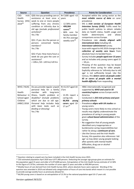| <b>Source</b>                                                                  | <b>Question</b>                                                                                                                                                                                                                                                                                                                                                                                                                 | <b>Prevalence</b>                                                                                                                                                  | <b>Points for Consideration</b>                                                                                                                                                                                                                                                                                                                                                                                                                                                                                                                                                                                                                                                                                                                                                                                                                                                                                                                                                                                                       |
|--------------------------------------------------------------------------------|---------------------------------------------------------------------------------------------------------------------------------------------------------------------------------------------------------------------------------------------------------------------------------------------------------------------------------------------------------------------------------------------------------------------------------|--------------------------------------------------------------------------------------------------------------------------------------------------------------------|---------------------------------------------------------------------------------------------------------------------------------------------------------------------------------------------------------------------------------------------------------------------------------------------------------------------------------------------------------------------------------------------------------------------------------------------------------------------------------------------------------------------------------------------------------------------------------------------------------------------------------------------------------------------------------------------------------------------------------------------------------------------------------------------------------------------------------------------------------------------------------------------------------------------------------------------------------------------------------------------------------------------------------------|
| CSO:<br>Irish<br>Health<br>Survey (IHS)<br>201916                              | Q50: Are you providing care or<br>assistance at least once a<br>week to one or more people<br>suffering from any chronic<br>condition or infirmity due to<br>old age (exclude professional<br>activities)?<br>Yes / No<br>Q51: If yes: Are the person or<br>persons concerned<br>family<br>members?<br>Yes / No<br>Q52: If yes: How many hours a<br>week do you give the care or<br>assistance?<br>< 10hrs /10- 120 hrs/>20 hrs | N=7,600 aged >15<br>vears<br>- 12.58% carers<br>499,904<br>carers <sup>17</sup><br>- 86% care for<br>family member<br>44.7hrs average<br>weekly care <sup>18</sup> | - Accepted within the caring sector as the<br>most reliable source of data on carer<br>prevalence<br>- IHS is Irish version of European Health<br>Interview Survey (EHIS). Fulfils need for<br>public health policies to obtain reliable<br>data on health status, health usage and<br>health<br>determinants<br>allows<br>and<br>comparisons across Europe.<br>- Prevalence rate closely aligned with<br>international data including UK.<br>- Interviewer administered survey.<br>- Issue with regard to IHS 2019 change in the<br>collection of weekly care hours from<br>absolute hours to banded hours.<br>- Survey includes people aged over 15 years<br>and so includes only young carers aged 15<br>$-18$ yrs.<br>- Phrasing of the question may be biased<br>towards those caring for older people.<br>Explicitly reference to 'infirmity due to old<br>age' is not sufficiently broad. Like the<br>Census, this deters carers of people under<br>65 or carers of people with a mental<br>health difficulty from responding. |
| WHO / NUIG<br>Health<br>Behaviour in<br>School-aged<br>Children<br>(HBSC) 2018 | Do you provide regular unpaid<br>personal help for a family<br>member<br>with<br>long-term<br>illness, health problem or<br>disability? (Include problems<br>which are due to old age.<br>Personal help includes help<br>with basic tasks such as<br>feeding or dressing)<br>Yes / No                                                                                                                                           | N=15,557 aged 10-<br>17yrs<br>$-13.3%$ report a<br>caring role.<br>66,956<br>young<br>carers aged 10-<br>$17$ yrs <sup>19</sup>                                    | - HBSC internationally recognised and<br>supported by WHO and used in 50<br>countries/regions across Europe and N.<br>America.<br>- Conducted in 255 Irish primary and post-<br>primary schools<br>- Prevalence aligns with UK studies on<br>young carers.<br>- Young carers more likely to miss school so<br>results may slightly underestimate the<br>prevalence of caring in young people<br>given school-based administration of the<br>survey.<br>- No suggestion that all young people<br>identified carry inappropriate or<br>burdensome caring responsibilities but<br>rather lie along a continuum of care.<br>- Like the Census and the Irish Health<br>Survey, this question also references 'old<br>age' so may deter young people looking<br>after parents with mental health<br>difficulties, drug use or alcohol<br>dependencies.                                                                                                                                                                                      |

<sup>16</sup> Question relating to unpaid care has been included in the Irish Health Survey since 2015.

**.** 

<sup>17</sup> CSO estimated population April 2020 was 4,977,400 persons. Deducting the younger age groups gives an estimate for the population aged 15 years and older of 3,973,800 persons. Extrapolation of the Irish Health Survey estimate of 12.58% to this figure of 3.973m, estimates the number of carers aged 15 years and older at 499,904 persons.

<sup>18</sup> Weekly hours of care derived from Irish Health Survey 2015, where absolute hours were captured. Wording of the question was amended in 2019 and allowed only categorisation of hours of care into bands which meant it is not possible to provide average weekly hours as previously allowed for.

<sup>19</sup> 66,956 young carers is based on an extrapolation of 13.3% to the national population aged 10-17 years old.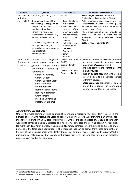| <b>Source</b>                           | Question                                                                                                                                                                                                                                                                                                                                                                                                                                                                                                                       | Prevalence                                                                                                                                                                                                                                                                       | <b>Points for Consideration</b>                                                                                                                                                                                                                                                                                                                                                                                                                                                     |
|-----------------------------------------|--------------------------------------------------------------------------------------------------------------------------------------------------------------------------------------------------------------------------------------------------------------------------------------------------------------------------------------------------------------------------------------------------------------------------------------------------------------------------------------------------------------------------------|----------------------------------------------------------------------------------------------------------------------------------------------------------------------------------------------------------------------------------------------------------------------------------|-------------------------------------------------------------------------------------------------------------------------------------------------------------------------------------------------------------------------------------------------------------------------------------------------------------------------------------------------------------------------------------------------------------------------------------------------------------------------------------|
| Behaviour &<br>Attitudes<br>Survey 2020 | Q1a. Are you a family carer?<br>Q.1b. Which, if any, of the<br>following types of support do<br>you provide to a family<br>member or friend who is<br>either living with you or<br>currently lives independently<br>but who requires support?<br>Q.1c. On average how many<br>hours per week do you<br>personally provide in order to<br>help that family<br>member/friend?                                                                                                                                                    | $N = 1,044$<br>- 12% identify as<br>family carer<br>$-470,0000 \text{ cares}$<br>- Increases to 38%<br>when care tasks<br>are considered/<br>1.4 <sub>m</sub><br>approx.<br>people.<br>- Full-time carers<br>average 56hrs<br>per week<br>- Ave for all<br>carers is<br>11.5hrs. | - Small sample of carers approx. 125.<br>- Online data collection due to COVID<br>- Asks respondents about support with the<br>Instrumental Activities of Daily Life (IADL)<br>as well as personal care so relies on a<br>broad concept of care.<br>High prevalence of people undertaking<br>care tasks at 38% is likely due to<br>supporting cocooning relatives during<br>COVID.<br>- 12% prevalence aligns to IHS                                                                |
| from<br>Data<br>Government<br>Schemes   | Limited<br>regarding<br>data<br>could<br>family carers<br>be<br>gleaned through various<br>Government schemes e.g.<br>claimants of:<br>Carer's Allowance/<br>$\overline{\phantom{a}}$<br>Carer's Benefit<br>Carer's Support Grant<br>$\overline{\phantom{m}}$<br>Care related tax<br>$\overline{\phantom{a}}$<br>credits/reliefs <sup>20</sup><br>Homemakers Scheme<br>$\overline{a}$<br><b>Housing Adaptation</b><br>$\overline{\phantom{m}}$<br>Grant scheme<br>Disabled Drivers and<br>$\overline{a}$<br>Passengers Scheme. | Carers Allowance -<br>91,000<br>Carers Benefit -<br>3,600<br>Support<br>Carers<br>Grant-118,813                                                                                                                                                                                  | Does not provide an accurate reflection<br>$\blacksquare$<br>of the prevalence of caregiving as only a<br>proportion of carers captured.<br>Do not capture the extent of care<br>being provided.<br>Risk of <b>double counting</b> as the same<br>$\overline{a}$<br>carer is likely to be included across<br>different sources.<br>Data protection legislation is likely to<br>$\qquad \qquad \blacksquare$<br>mean these sources of information<br>cannot be used for any purpose. |

## *Annual Carer's Support Grant*

One of the most commonly used sources of information regarding 'full-time' family carers is the number of carers who receive the Carer's Support Grant. The Carer's Support Grant is an annual, nonmeans tested grant of €1,850 paid to family carers who (i) provide in excess of 35 hours of care each week (ii) to someone medically assessed as in need of full-time care and (iii) who doesn't work or study for more than 18.5 hours a week. In 2021, 118,813 family carers received the grant, an average of 2.5 per cent of the total adult population<sup>21</sup>. The inference that can be drawn from these data is that of the 13% of the Irish population who identify themselves as a family carer (Irish Health Survey 2019), a minimum estimate suggests that 2.5 per cent provide high level, full-time care for a person medically assessed as in need of full-time care.

 $\overline{\phantom{a}}$ 

<sup>&</sup>lt;sup>20</sup> Home Carer Tax Credit; Dependent Relative Tax Credit; Incapacitated Child Tax Credit; Tax Relief on Employing Home Carer. <sup>21</sup> Ireland's population in 2020 is estimated at 4,937,786 according to UN data.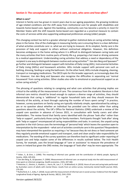### **Section 3: The conceptualisation of care –** *what is care***,** *who cares and how often?*

### *What is care?*

Interest in family care has grown in recent years due to our ageing population, the growing incidence of age-related conditions and the shift away from institutional care for people with disabilities and towards home-based care. Against this backdrop, community care has become a priority in most EU Member States with the shift towards home-based care regarded as a practical measure to contain the costs of services while also supporting widespread preferences among (older) people.

This changing context has led to a greater attempt to gather statistical data on caring activities taking place in the home. One of the challenges in measuring family care is ensuring there is a clear definition of what activities constitute care i.e. what we are trying to measure. At its simplest, family care is the provision of help and support to others without contractual obligation. However, this definition becomes ambiguous in the home setting where it is difficult to distinguish between caring tasks and the many activities that form routine parts of family life e.g. preparing a hot meal or driving someone to a medical appointment. Understanding caring activities that address a need or dependency of the recipient is one way to distinguish between routine and caring activities<sup>22</sup>. Van den Berg and Spauwen<sup>23</sup> go further and distinguish between support with Activities of Daily Living (ADL), Instrumental Activities of Daily Living (IADLs) and housework activities. ADLs include support with personal care such as bathing, dressing, feeding or using the bathroom. On the other hand, IADLs include shopping, cleaning, transport or managing medications. The OECD opts for this broader approach, as increasingly does the EU. However, Van den Berg and Spauwen also recognise the difficulties in separating out 'normal housework' from caring activities. Other studies also refer to emotional or psychosocial support as an active caring activity<sup>24</sup>.

The phrasing of questions relating to caregiving and what care activities that phrasing implies are critical to the validity of the measurement of care. The consensus from the academic literature is that informal care metrics should be broad enough to capture a diverse range of activities, they should demonstrate that caring is 'additional' to regular household tasks and they should measure the intensity of the activity, at least through capturing the number of hours spent caring<sup>25</sup>. In practice, however, survey questions on family caring are typically relatively simple, operationalised by asking a yes or no question about whether an individual has provided care for others rather than asking questions about the activity. The UK's Office for National Statistics (ONS) undertook a review of the unpaid care question in advance of Census 2021, in consultation with family carers and other stakeholders. The review found that family carers identified with the phrase 'look after' rather than 'help or support', particularly those caring for family members. Participants thought 'look after' along with 'help or support' encompassed all caring responsibilities and tasks. In contrast, the unpaid caring question in the Irish Census uses the terminology of 'personal help' which leaves the question open to interpretation by the respondent – what sort of activities constitute care in this question? Respondents may have interpreted the question as requiring a 'no' because they do not dress or feed someone yet they regularly provide emotional support and transport, cook and clean and/or take responsibility for medications. The wording of the survey questions can therefore lead to significant under-reporting of unpaid care and helps explain some of the differences in results outlined below. The Irish Health Survey, for example, uses the broad language of 'care or assistance' to measure the prevalence of carers in Ireland but given the ONS review, the language of 'look after' may be more appropriate. The

1

<sup>22</sup> Arber, S., & Ginn, J. (1990). The meaning of informal care: gender and the contribution of elderly people. *Ageing & Society*, *10*(4), 429-454.

<sup>&</sup>lt;sup>23</sup> Van den Berg, B., & Spauwen, P. (2006). Measurement of informal care: an empirical study into the valid measurement of time spent on informal caregiving. *Health economics*, *15*(5), 447-460.

<sup>&</sup>lt;sup>24</sup> Hielscher, E., Diminic, S., Kealton, J., Harris, M., Lee, Y. Y., & Whiteford, H. (2019). Hours of care and caring tasks performed by Australian carers of adults with mental illness: results from an online survey. *Community mental health journal*, *55*(2), 279-295.

<sup>&</sup>lt;sup>25</sup> Rutherford, A. C., & Bu, F. (2018). Issues with the measurement of informal care in social surveys: Evidence from the English Longitudinal Study of Ageing. *Ageing & Society*, *38*(12), 2541-2559.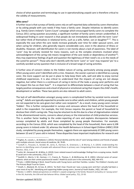choice of what question and terminology to use in operationalising unpaid care is therefore critical to the validity of measurements.

### *Who cares?*

A further issue is that surveys of family carers rely on self-reported data collected by carers themselves or by asking people with care needs if they have a family carer. Despite initiatives to identify carers (e.g*. Family Carers Ireland's* 'Carers Count' campaign which encouraged family carers to complete the Census 2011 caring question accurately), a significant number of family carers remain unidentified. A widespread finding in carer research is that people do not immediately identify with the term 'carer' but rather think of themselves in relational terms, such as a wife, father, son or daughter<sup>26 27</sup>. This is especially the case when the care needs increase gradually over time for older spousal carers, and when caring for children, who generally require considerable care, even in the absence of illness or disability. However, self-identification for carers is not merely about a lack of awareness. The label of 'carer' may be actively resisted for many reasons, such as the complex emotions involved when acknowledgment of the caring role means recognition of the care needs or dependency of another<sup>28</sup>; they may experience feelings of guilt and question the legitimacy of their need's vis a vis the needs of the cared for person<sup>29</sup>. Those who don't identify with the term 'carer' or 'care' may respond 'yes' to a carefully worded survey question that is inclusive of a broad range of caring activities.

A further area of concern relates to the hidden nature of caring, particularly among young people. Often young carers aren't identified until a crisis. However, the sooner a person is identified as a young carer, the more support can be put in place to help keep them safe, well and able to enjoy normal childhood experiences. It is also critical to understand that the impacts of caring are not always negative, but rather there is a continuum of caring in terms of the tasks a young carer performs and the impact this has on their lives<sup>30</sup>. It is important to differentiate between a level of caring that has largely positive consequences and a level of physical or emotional caring that impairs the child's health, development or welfare. These two points are also relevant to adult carers.

The lack of self-identification amongst young carers is complicated further by societal norms around caring<sup>31</sup>. Adults are typically expected to provide care to other adults and children, whilst young people are not expected to be care-givers but rather care recipients<sup>32</sup>. As a result, many young carers remain 'hidden'. This is further compounded in surveys and censuses where the head of the household or adult is the respondent. For example, the Irish Census requires the parent or head of household to disclose their child's caring role. They may be reluctant to do this due to a fear of stigmatisation related to the aforementioned norms, concerns about privacy or the intervention of child protective services. This is another factor leading to the under-reporting of care and explains discrepancies between surveys completed by adults and those completed by young people themselves. For example, according to the Census 2016, which was completed by the head of the household, there were 6,108 young carers in Ireland under 18, whereas the Health Behaviours in School-Aged Children (HBSC) 2018 study, completed by young people themselves, suggests there are approximately 67,000 young carers between 10 and 17 years old in Ireland. These disparities have important implications for research and

 $\overline{\phantom{a}}$ 

<sup>&</sup>lt;sup>26</sup> Hughes, N., Locock, L., & Ziebland, S. (2013). Personal identity and the role of 'carer'among relatives and friends of people with multiple sclerosis. *Social science & medicine*, *96*, 78-85.

<sup>&</sup>lt;sup>27</sup> Carduff, E., Finucane, A., Kendall, M., Jarvis, A., Harrison, N., Greenacre, J., & Murray, S. A. (2014). Understanding the barriers to identifying carers of people with advanced illness in primary care: triangulating three data sources. *BMC Family Practice*, *15*(1), 1-10.

<sup>28</sup> Larkin, M., Henwood, M., & Milne, A. (2019). Carer‐related research and knowledge: findings from a scoping review. *Health & social care in the community*, *27*(1), 55-67.

<sup>29</sup> Soothill, K., Morris, S. M., Harman, J. C., Francis, B., Thomas, C., & McIllmurray, M. B. (2001). Informal carers of cancer patients: what are their unmet psychosocial needs?. Health & social care in the community, 9(6), 464-475.

<sup>30</sup> Frank, J. (2002) Making it Work. Good Practice with Young Carers and their Families. London: The Children's Society and The Princess Royal Trust for Carers.

<sup>31</sup> Smyth, C., Blaxland, M., & Cass, B. (2011). 'So that's how I found out I was a young carer and that I actually had been a carer most of my life'. Identifying and supporting hidden young carers. *Journal of Youth Studies*, *14*(2), 145-160.

<sup>&</sup>lt;sup>32</sup> Becker, S. (2007). Global perspectives on children's unpaid caregiving in the family: Research and policy on 'young carers' in the UK, Australia, the USA and Sub-Saharan Africa. *Global social policy*, *7*(1), 23-50.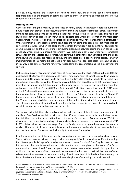practice. Policy-makers and stakeholders need to know how many young people have caring responsibilities and the impacts of caring on them so they can develop appropriate and effective support on a national scale.

### *Intensity of care*

Generally, measuring the intensity of care relies on family carers to accurately report the number of hours of care they provide. In practice, this is very difficult and subject to significant error. The primary method for calculating time spent caring in national surveys is the 'recall' method. This has been studied extensively and it has been shown to be subject to bias, where overestimation and more often underestimation, is likely<sup>33</sup>. This was reported to be particularly true for older and female caregivers<sup>34</sup>. Underestimation occurs because carers don't account for 'joint production' (i.e. activities that can serve multiple purposes when the carer and the person they support are doing things together, for example shopping) and they often find it difficult to distinguish between caring and non-caring tasks, especially when living in a shared household<sup>35</sup>. Over-estimation can occur when tasks completed simultaneously are reported several times. An alternative method for capturing unpaid care is the diary method, where activities are recorded as they are conducted over a specified time period. However, implementation of this method is not feasible for large surveys or censuses because measuring hours in this way is too time-consuming for survey respondents and researchers, and too expensive for the surveys.

Irish national surveys recording average hours of weekly care use the recall method but take different approaches. The Census asks participants to write in how many hours of care they provide on a weekly basis. In its 2015 wave, the Irish Health Survey (IHS) similarly also asked respondents to record how many hours of care they provided. Respondents could state they cared for up to 168 hours per week, indicating the intense and full-time nature of their caring role. The two surveys were fairly consistent with an average of 38.7 (Census 2016) and 44.7 hours (IHS 2015) per week. However, the 2019 wave of the IHS changed its approach to measuring care hours, instead instructing respondents to record their average hours of weekly care in categories of less than 10 hours per week, between 10 and 19 hours per week and 20 hours per week or more. Almost one third of respondents stated they cared for 20 hours or more, which is a crude measurement that underestimates the full-time nature of caring. This all contributes to making it difficult to put a valuation on unpaid care since it is not possible to calculate average or median hours of care per week.

The idea of caring 'full-time' also needs unpacking. In Ireland, one of the criteria a carer must meet to qualify for Carer's Allowance is to provide more than 35 hours of care per week. Yet studies have shown that full-time care often means attending to the person's care needs 24-hours a day. Whilst the allowance is not thought of as a salary but as a social assistance payment, the maximum amount,  $\epsilon$ 219 in 2021, is far below the minimum wage. Thus, the family carer is recognised as a carer but not as a worker. Although out of the scope of this paper, a discussion is needed about the reasonable limits that can be expected from carers and what might constitute a 'caring day'.

In a similar vein, the use of the term 'regular' in questions about care is not a neutral or clear concept. The Irish Census asks participants if they provide care 'regularly' which may take on different meanings for different people. Is 'regular' every day, once a week, once a fortnight? Does 'regular' care not take into account the out-of-the-ordinary or crisis care that may take place in the event of a fall or deterioration of a condition? There is scope for interpretation here which again calls into question the validity of the instrument. Given these and the issues outlined above, it is critical that users of carerelated statistics are aware of the understanding of family care implicit in the data they are using, the issue of self-identification and problems with recording hours of care using the recall method.

**<sup>.</sup>** <sup>33</sup> Van den Berg, B., & Spauwen, P. (2006). Measurement of informal care: an empirical study into the valid measurement of time spent on informal caregiving. *Health economics*, *15*(5), 447-460.

<sup>34</sup> Flyckt, L., Lothman, A., Jorgensen, L., Rylander, A., & Koernig, T. (2013). Burden of informal care giving to patients with psychoses: A descriptive and methodological study. *International Journal of Social Psychiatry, 59*(2), 137–146. 35 Van den Berg & Spauwen, ibid.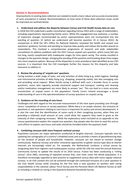#### **Section 4: Recommendations**

Improvements in existing data collection are needed to build a more robust and accurate enumeration of carer prevalence in Ireland. Recommendations on how some of these data collection issues could be improved are outlined below.

#### **1. Understand and address the disparity between Census and Irish Health Survey data on care**

In 2018 the CSO undertook a public consultation regarding Census 2022 with a range of stakeholders, including organisations representing family carers. While this engagement was welcome, a number of important changes recommended by sector representatives were not incorporated into the wording of question 22 (which we understand will become question 23 in Census 2022). By comparison in 2018 the UK's Office for National Statistics reviewed the health and unpaid care questions' guidance, formats and wording to improve data quality and reduce the burden placed on respondents. This involved a comprehensive programme of research and wide stakeholder consultation to address problems with the 2011 Census unpaid care question, which many felt was too long, overly complicated with inadequate ranges for time spent caring. The review resulted in changes to the question design, changing the wording of the question and breaking down time ranges into more response options. Because of the disparities in carer prevalence data identified across CSO sources, it is important that the CSO investigate further the reasons for this disparity and take measures to address it.

### **2. Review the phrasing of 'unpaid care' questions**

Caring involves a wide range of tasks, not only activities of daily living (e.g. toilet hygiene, feeding) and instrumental activities of daily living (e.g. shopping, preparing meals), but also managing care and providing social support. When family caring is defined with such a broader focus in survey questions, carers who regularly provide emotional support and transport, cooking and cleaning and/or medication management are more likely to answer 'yes'. This can lead to a more accurate enumeration of unpaid carers in the population. Family Carers Ireland encourages a broad understanding of care in the operationalisation of survey questions on unpaid caring.

### **3. Guidance on the recording of care hours**

Challenges exit with regard to the accurate measurement of the time spent providing care through carers' completion of census or survey questions. While there is no simple solution, the inclusion of questions or sub-questions relating to care hours is important for policy and service development. It is also the case that the identification of carers early in their caregiving journey, when they are providing a relatively small amount of care, could allow the supports they need to grow as the intensity of their caregiving increases. While the explanatory notes included as an appendix to the census questionnaire explain the unpaid care question, few people take the time to read this and as such efforts to explain care hours and tasks should be included within the question itself.

### **4. Combining censuses with more frequent national surveys**

Population censuses are major operations conducted at lengthy intervals. Censuses typically start by updating the cartography of a country's inhabited areas and so provide a means of georeferencing data on the location of people and households. However, censuses are not meant to monitor change continuously. National surveys and other innovative approaches to gather census-type data at shorter intervals are increasingly relied on. For example, the Netherlands conducts a virtual census by integrating data from registers and multipurpose surveys, while the USA has used the annual American Community Survey to update the results of its 2010 census. France has been conducting a "rolling census" since 2005, consisting of repeated surveys that, over time, cover the whole population. It is therefore increasingly regarded as best practice to supplement census data with more regular national surveys. In an Irish context this can be achieved through the continued inclusion of a carer question in the Irish Health Survey while including for the first time a new question on workers with caring responsibilities in the national Labour Force Survey and the Personal Work Life Balance Survey as well as including a module on caring in the Quarterly National Household Survey.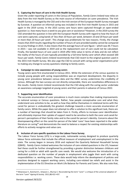## **5. Capturing the hours of care in the Irish Health Survey**

Given the under-reporting of carers in the Census of Population, *Family Carers Ireland* now relies on data from the Irish Health Survey as the main source of information on carer prevalence. The Irish Health Survey is managed by the CSO and is the Irish version of the European Health Survey managed by Eurostat. A question on informal caring was included in the first Irish Health Survey in 2015 and again in the 2019 survey. In the 2015 survey care hours were captured through an open-ended question i.e*. how many hours a week to you give care or assistance?* However, in the 2019 survey the CSO amended the question in line with the European Health Survey with regard to how the hours of care were captured, using bands of '*less than 10 hours per week, between 10 and 20 hours per week or more than 20 hours per week'*. This change was problematic for two reasons. Firstly, the change means that 2019 results regarding the number of hours of care provided weekly cannot be compared to survey findings in 2015. It also means that the average hours of care figure – which was 44.7 hours in 2015 – was not available in 2019 and so the replacement cost of care could not be calculated. Finally, the banded hours of care used in 2019 offer little value in terms of data and do not reflect the reality of the hours of care typically provided by a full-time family carer which often exceed 100 hours per week. *Family Carers Ireland* recommends that CSO revert to the original question used in the 2015 Irish Health Survey. We also urge the CSO to consult with caring sector organisations prior to making any change to survey questions relating to family carers.

# **6. Campaign to raise awareness of young carers**

Young carers were first enumerated in Census 2011. While the extension of the census question to include young people with caring responsibilities was an important development, the disparity in young carer prevalence between census data and the HBSC survey undermines the credibility of census. Although the two surveys are not directly comparable, there are nonetheless differences in the results. *Family Carers Ireland* recommends that the CSO along with the caring sector undertake an awareness campaign targeted at young carers and their parents in advance of Census 2022.

# **7. Supporting carer identification**

The accurate enumeration of carer prevalence is much more complex than making improvements to national surveys or Census questions. Rather, how people conceptualise care and what they understand care activities to be, as well as how they define themselves in relational terms with the cared for person is undoubtedly the greatest challenge towards a more accurate enumeration of family carers. While this paper does not attempt to offer a solution to this significant task, there are a number of learnings that should be taken from it. Firstly, efforts to increase carer identification and ultimately improve their uptake of support need to be sensitive to both the carer and cared-for person's perceptions of their family roles and to the cared-for person's identity. Concerns about the disempowering effect on the cared-for-person of the label 'carer' have been reported in the wider literature on caring<sup>36</sup> and demonstrate the need to balance a respect for existing relationships with efforts to actively recognise and value care.

## **8. Inclusion of care specific questions in the Labour Force Survey**

The Labour Force Survey (LFS) is a large-scale, nationwide survey designed to produce quarterly labour force estimates that include the official measure of employment and unemployment in the state. The survey began in January 2016 and replaced the Quarterly National Household Survey (QNHS). *Family Carers Ireland* welcomes the inclusion of care-related questions in the LFS, however feel these could be further strengthened by providing a greater distinction between childcare and caring for a child or adult with specific care needs. We would also welcome the introduction of a dedicated question on the number of people in employment who juggle their work with caring responsibilities i.e. working carers. These data would help inform the development of policies and practices designed to support working carers, including care-related tax reliefs and assist in the implementation of the EU Directive on Work Life Balance for Parents and Carers. We also note that,

 $\overline{\phantom{a}}$ 36 Molyneaux V., Butchard S., Simpson J., Murray C. Reconsidering the term "carer": a critique of the universal adoption of the term "carer" *Ageing & Society.* 2011;**31**:422–437.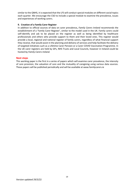similar to the QNHS, it is expected that the LFS will conduct special modules on different social topics each quarter. We encourage the CSO to include a special module to examine the prevalence, issues and experiences of working carers.

### **9. Creation of a Family Carer Register**

In addition to official sources of data on carer prevalence**,** *Family Carers Ireland* recommends the establishment of a 'Family Carer Register', similar to the model used in the UK. Family carers could self-identify and ask to be placed on the register as well as being identified by healthcare professionals and others who provide support to them and their loved ones. This register would provide a local, regional and national register of family carers, regardless of what financial support they receive, that would assist in the planning and delivery of services and help facilitate the delivery of targeted initiatives such as a Lifetime Carer Pension or a Carer COVID Vaccination Programme. In the UK carer registers are held by GPs, NHS Trusts and Local Councils, however in Ireland could be hosted by *Family Carers Ireland.*

### **Next steps**

This working paper is the first in a series of papers which will examine carer prevalence, the intensity of care provision, the valuation of care and the mutuality of caregiving using various data sources. These papers will be published periodically and will be available at www.familycarers.ie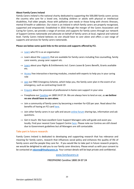#### **About Family Carers Ireland**

*Family Carers Ireland* is the national charity dedicated to supporting the 500,000 family carers across the country who care for a loved one, including children or adults with physical or intellectual disabilities, frail older people, those with palliative care needs or those living with chronic illnesses, mental ill-health or addiction. Our vision is an Ireland in which family carers are properly recognised, supported and empowered. Established in 2016 through the merger of the Carers Association and Caring for Carers, we provide a range of services and supports for family carers through our network of Support Centres nationwide and advocate on behalf of family carers at local, regional and national level. Family Carers Ireland believes *no one should have to care alone* and offers a vast range of supports and services for family carers nationwide.

#### **Please see below some quick links to the services and supports offered by FCI.**

- $\rightarrow$  [Learn](https://familycarers.ie/about-us/who-we-are) who FCI is as an organisation
- $\rightarrow$  Learn about th[e supports](https://familycarers.ie/carer-supports) that are available for family carers including free counselling, family carer events, young carer support etc.
- $\rightarrow$  [Learn](https://familycarers.ie/carer-supports/help-advice/rights-entitlements) about your Rights & Entitlements incl. Carers Leave & Carers Benefit, Grants available etc.
- $\rightarrow$  [Access](https://familycarers.ie/carer-supports/learning-education) free interactive e-learning modules, created with experts to help you in your caring role
- $\rightarrow$  [Join](https://familycarers.ie/carer-supports/help-advice/emergency-care-scheme) our FREE Emergency Scheme, which helps you, the family carer plan in the event of an emergency, such as contracting Covid-19
- $\rightarrow$  [Enquire](https://familycarers.ie/home-supports) about the provision of professional in-home care support in your area
- → Freephone our [Careline](https://familycarers.ie/carer-supports/national-freephone-careline) on 1800 24 07 24. We are always here to lend an ear, as *we believe no one should have to care alone.*
- $\rightarrow$  Join a community of family carers by becoming a member for  $\epsilon$ 20 per year. Read about the benefits of having an FCI card [here.](https://familycarers.ie/membership)
- $\rightarrow$  Join other family carers in our safe and secure [online forum](https://forum.familycarers.ie/) sharing tips, information and ask questions.
- $\rightarrow$  Get in touch. We have excellent Carer Support Managers who will guide and assist you locally. Find your nearest Carer Support Centre [here.](https://familycarers.ie/find-us/your-support-centre) Please note our Centres are still closed due to Government guidelines but all Managers are still contactable.

### **Take part in future research:**

Family Carers Ireland is dedicated to developing and supporting research that has relevance and meaning for family carers, research that influences social policy and enhances the quality of life of family carers and the people they care for. If you would like to take part in future research projects, we would be delighted to add you to our family carer directory. Please email us with your consent to be contacted at **[ndunne@fmailycarers.ie](mailto:ndunne@fmailycarers.ie)**. Your contact details will be kept private and confidential.

### [www.familycarers.ie](http://www.familycarers.ie/)

### **FREEPHONE Careline 1800 24 07 24**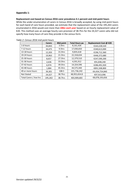# **Appendix 1:**

### **Replacement cost based on Census 2016 carer prevalence 4.1 percent and mid-point hours**

While the under-enumeration of carers in Census 2016 is broadly accepted, by using mid-point hours for each band of care hours provided, we estimate that the replacement value of the 195,263 carers enumerated in 2016 would cost more than *€8bn each year* based on an hourly replacement value of €20. This method uses an average hourly care provision of 38.7hrs for the 24,327 carers who did not specify how many hours of care they provide in the census form.

|                        | <b>Carers</b> | Mid point  | <b>Total Hours pa</b> | Replacement Cost @ €20 |
|------------------------|---------------|------------|-----------------------|------------------------|
| 1-6 hours              | 44,843        | 3.5hrs     | 8,161,426             | €163,228,520           |
| 7-12 hours             | 34,475        | 9.5hrs     | 17,030,650            | €340,613,000           |
| 13-18 hours            | 12,203        | $15.5$ hrs | 9,835,618             | €196,712,360           |
| 19-24 hours            | 19,963        | $21.5$ hrs | 22,318,634            | €446,372,680           |
| 25-30 hours            | 8,657         | 27.5hrs    | 12,379,510            | €247,590,200           |
| 31-36 hours            | 2,636         | 33.5hrs    | 4,591,912             | €91,838,240            |
| 37-42 hours            | 6,974         | 39.5hrs    | 14,324,596            | €286,491,920           |
| 43-48 hours            | 1,884         | 45.5hrs    | 44,575,440            | €891,508,800           |
| 49 or more hours       | 39,301        | 108.5      | 221,736,242           | €4,434,724,840         |
| <b>Not Stated</b>      | 24,327        | 38.7hrs    | 48,955,654.8          | €97,913,096            |
| Total Carers / Ave hrs | 195,263       | 38.7hrs    | 403,909,683           | €8,078,193,656         |

#### *Table 2: Census 2016 mid-point hours*